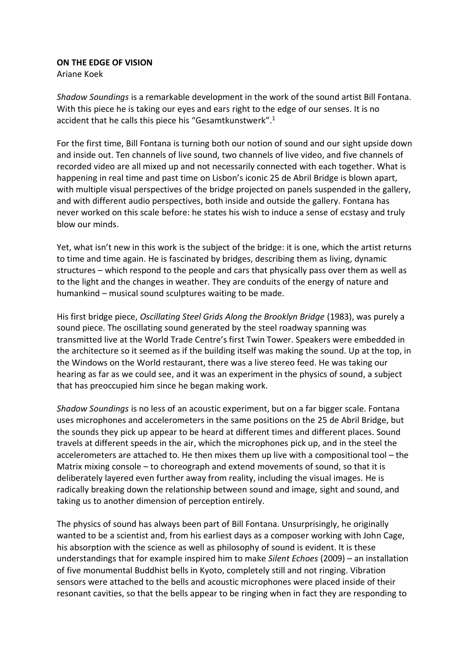## **ON THE EDGE OF VISION**

Ariane Koek

*Shadow Soundings* is a remarkable development in the work of the sound artist Bill Fontana. With this piece he is taking our eyes and ears right to the edge of our senses. It is no accident that he calls this piece his "Gesamtkunstwerk".<sup>1</sup>

For the first time, Bill Fontana is turning both our notion of sound and our sight upside down and inside out. Ten channels of live sound, two channels of live video, and five channels of recorded video are all mixed up and not necessarily connected with each together. What is happening in real time and past time on Lisbon's iconic 25 de Abril Bridge is blown apart, with multiple visual perspectives of the bridge projected on panels suspended in the gallery, and with different audio perspectives, both inside and outside the gallery. Fontana has never worked on this scale before: he states his wish to induce a sense of ecstasy and truly blow our minds.

Yet, what isn't new in this work is the subject of the bridge: it is one, which the artist returns to time and time again. He is fascinated by bridges, describing them as living, dynamic structures – which respond to the people and cars that physically pass over them as well as to the light and the changes in weather. They are conduits of the energy of nature and humankind – musical sound sculptures waiting to be made.

His first bridge piece, *Oscillating Steel Grids Along the Brooklyn Bridge* (1983), was purely a sound piece. The oscillating sound generated by the steel roadway spanning was transmitted live at the World Trade Centre's first Twin Tower. Speakers were embedded in the architecture so it seemed as if the building itself was making the sound. Up at the top, in the Windows on the World restaurant, there was a live stereo feed. He was taking our hearing as far as we could see, and it was an experiment in the physics of sound, a subject that has preoccupied him since he began making work.

*Shadow Soundings* is no less of an acoustic experiment, but on a far bigger scale. Fontana uses microphones and accelerometers in the same positions on the 25 de Abril Bridge, but the sounds they pick up appear to be heard at different times and different places. Sound travels at different speeds in the air, which the microphones pick up, and in the steel the accelerometers are attached to. He then mixes them up live with a compositional tool – the Matrix mixing console – to choreograph and extend movements of sound, so that it is deliberately layered even further away from reality, including the visual images. He is radically breaking down the relationship between sound and image, sight and sound, and taking us to another dimension of perception entirely.

The physics of sound has always been part of Bill Fontana. Unsurprisingly, he originally wanted to be a scientist and, from his earliest days as a composer working with John Cage, his absorption with the science as well as philosophy of sound is evident. It is these understandings that for example inspired him to make *Silent Echoes* (2009) – an installation of five monumental Buddhist bells in Kyoto, completely still and not ringing. Vibration sensors were attached to the bells and acoustic microphones were placed inside of their resonant cavities, so that the bells appear to be ringing when in fact they are responding to